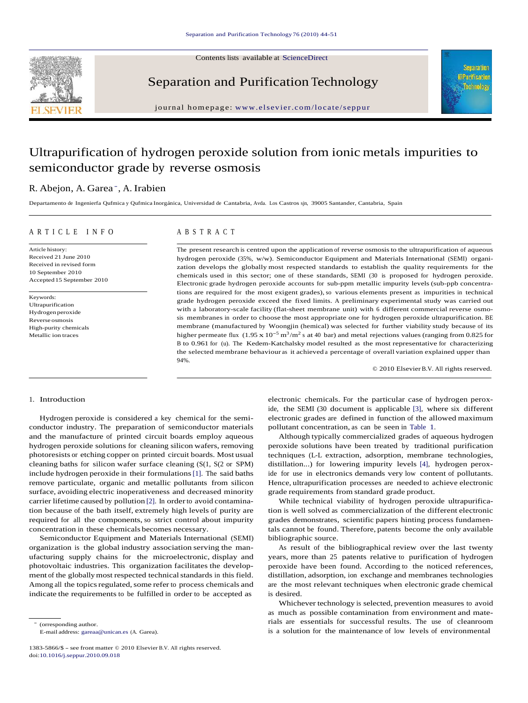Contents lists available at ScienceDirect



Separation and Purification Technology eparation and Purification Technology<br>journal homepage: www.elsevier.com/locate/seppur



# Ultrapurification of hydrogen peroxide solution from ionic metals impurities to semiconductor grade by reverse osmosis

# R. Abejon, A. Garea -, A. Irabien

Departamento de Ingenierfa Qufmica y Qufmica Inorgánica, Universidad de Cantabria, Avda. Los Castros sjn, 39005 Santander, Cantabria, Spain

## A R T I C L E I N F O A B S T R A C T

Article history: Received 21 June 2010 Received in revised form 10 September 2010 Accepted 15 September 2010

Keywords: Ultrapurification Hydrogen peroxide Reverse osmosis High-purity chemicals Metallic ion traces

The present research is centred upon the application of reverse osmosis to the ultrapurification of aqueous hydrogen peroxide (35%, w/w). Semiconductor Equipment and Materials International (SEMI) organi zation develops the globally most respected standards to establish the quality requirements for the chemicals used in this sector; one of these standards, SEMI (30 is proposed for hydrogen peroxide. Electronic grade hydrogen peroxide accounts for sub-ppm metallic impurity levels (sub-ppb concentrations are required for the most exigent grades), so various elements present as impurities in technical grade hydrogen peroxide exceed the fixed limits. A preliminary experimental study was carried out with a laboratory-scale facility (flat-sheet membrane unit) with 6 different commercial reverse osmo sis membranes in order to choose the most appropriate one for hydrogen peroxide ultrapurification. BE membrane (manufactured by Woongjin (hemical) was selected for further viability study because of its higher permeate flux  $(1.95 \times 10^{-5} \text{ m}^3/\text{m}^2 \text{ s}$  at 40 bar) and metal rejections values (ranging from 0.825 for B to0.961 for (u). The Kedem-Katchalsky model resulted as the most representative for characterizing the selected membrane behaviour as it achieved a percentage of overall variation explained upper than 94%.

© 2010 ElsevierB.V. All rights reserved.

# 1. Introduction

Hydrogen peroxide is considered a key chemical for the semi conductor industry. The preparation of semiconductor materials pollutant concentration, as can be seen in Table 1. and the manufacture of printed circuit boards employ aqueous hydrogen peroxide solutions for cleaning silicon wafers, removing photoresists or etching copper on printed circuit boards. Most usual cleaning baths for silicon wafer surface cleaning (S(1, S(2 or SPM) include hydrogen peroxide in their formulations[1]. The said baths remove particulate, organic and metallic pollutants from silicon surface, avoiding electric inoperativeness and decreased minority carrier lifetime caused by pollution [2]. In orderto avoid contamination because of the bath itself, extremely high levels of purity are required for all the components, so strict control about impurity concentration in these chemicals becomes necessary.

Semiconductor Equipment and Materials International (SEMI) organization is the global industry association serving the man ufacturing supply chains for the microelectronic, display and photovoltaic industries. This organization facilitates the develop ment of the globally most respected technical standards in this field. Among all the topics regulated, some refer to process chemicals and indicate the requirements to be fulfilled in order to be accepted as

- (orresponding author.

E-mail address: gareaa@unican.es (A. Garea).

1383-5866/\$ - see front matter © 2010 Elsevier B.V. All rights reserved. doi:10.1016/j.seppur.2010.09.018

electronic chemicals. For the particular case of hydrogen peroxide, the SEMI (30 document is applicable [3], where six different electronic grades are defined in function of the allowed maximum

Although typically commercialized grades of aqueous hydrogen peroxide solutions have been treated by traditional purification techniques (L-L extraction, adsorption, membrane technologies, distillation...) for lowering impurity levels [4], hydrogen peroxide for use in electronics demands very low content of pollutants. Hence, ultrapurification processes are needed to achieve electronic grade requirements from standard grade product.

While technical viability of hydrogen peroxide ultrapurification is well solved as commercialization of the different electronic grades demonstrates, scientific papers hinting process fundamentals cannot be found. Therefore, patents become the only available bibliographic source.

As result of the bibliographical review over the last twenty years, more than 25 patents relative to purification of hydrogen peroxide have been found. According to the noticed references, distillation, adsorption, ion exchange and membranes technologies are the most relevant techniques when electronic grade chemical is desired.

Whichever technology is selected, prevention measures to avoid as much as possible contamination from environment and materials are essentials for successful results. The use of cleanroom is a solution for the maintenance of low levels of environmental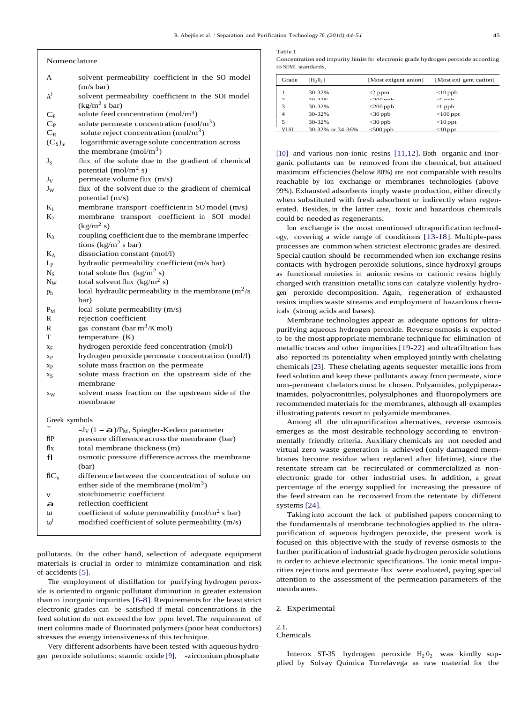- 
- A<sup>I</sup> solvent permeability coefficient in the SOI model  $\begin{vmatrix} 1 \\ 2 \end{vmatrix}$  $(kg/m^2 s bar)$
- $C_F$ solute feed concentration  $(mol/m<sup>3</sup>)$
- $C_P$  solute permeate concentration (mol/m<sup>3</sup>)
- $C_R$  solute reject concentration (mol/m<sup>3</sup>)
- $(C_S)_{ln}$ logarithmic average solute concentration across the membrane  $(mol/m<sup>3</sup>)$
- $J<sub>S</sub>$  flux of the solute due to the gradient of chemical potential (mol/m<sup>2</sup> s)
- $J_V$  permeate volume flux  $(m/s)$
- $J_W$  flux of the solvent due to the gradient of chemical potential (m/s)
- $K_1$  membrane transport coefficient in SO model (m/s)
- K<sup>2</sup> membrane transport coefficient in SOI model  $(kg/m^2 s)$
- K<sub>3</sub> coupling coefficient due to the membrane imperfections (kg/m<sup>2</sup> s bar)
- $K_A$  dissociation constant (mol/l)
- $L_p$  hydraulic permeability coefficient (m/s bar)
- $N_S$  total solute flux  $(kg/m^2 s)$
- N<sub>W</sub> total solvent flux  $(kg/m^2 s)$
- $p_h$  local hydraulic permeability in the membrane  $(m^2/s)$ bar)
- $P_M$  local solute permeability  $(m/s)$
- R rejection coefficient
- R gas constant (bar  $m^3/K$  mol)
- T temperature (K)
- x<sup>F</sup> hydrogen peroxide feed concentration (mol/l)
- x<sup>P</sup> hydrogen peroxide permeate concentration (mol/l)
- x<sup>P</sup> solute mass fraction on the permeate
- $x_S$  solute mass fraction on the upstream side of the membrane
- x<sub>W</sub> solvent mass fraction on the upstream side of the membrane

| Greek symbols |
|---------------|
|---------------|

| Greek symbols                                |
|----------------------------------------------|
| $=J_V(1 - a)/P_M$ , Spiegler-Kedem parameter |

- flP pressure difference across the membrane (bar)
- flx total membrane thickness(m)
- fl osmotic pressure difference across the membrane (bar)
- $fIC_s$  difference between the concentration of solute on either side of the membrane  $(mol/m<sup>3</sup>)$ v stoichiometric coefficient<br>
a reflection coefficient<br>  $\omega$  coefficient of solute perme
- coefficient of solute permeability (mol/m<sup>2</sup> s bar)
- $\omega^I$  modified coefficient of solute permeability (m/s)
- pollutants. On the other hand, selection of adequate equipment materials is crucial in order to minimize contamination and risk of accidents [5].
- The employment of distillation for purifying hydrogen peroxide is oriented to organic pollutant diminution in greater extension than to inorganic impurities [6-8]. Requirements for the least strict electronic grades can be satisfied if metal concentrations in the feed solution do not exceed the low ppm level. The requirement of inert columns made of fluorinated polymers(poor heat conductors) stresses the energy intensiveness of this technique.
- Very different adsorbents have been tested with aqueous hydro gen peroxide solutions: stannic oxide [9], -zirconiumphosphate

Table 1<br>
Concentration and impurity limits for electronic grade hydrogen peroxide according<br>
Table 1 to SEMI standards.

| A                         | solvent permeability coefficient in the SO model  | Grade       | [H <sub>2</sub> 0 <sub>2</sub> ] | [Most exigent anion] | [Most exi gent cation] |
|---------------------------|---------------------------------------------------|-------------|----------------------------------|----------------------|------------------------|
|                           | $(m/s \bar{b})$                                   |             | 30-32%                           | $<$ 2 ppm            | $<$ 10 ppb             |
|                           | solvent permeability coefficient in the SOI model | $\bigcap$   | 30.3206                          | $200$ ppb            | $\sqrt{2}$ nnh         |
|                           | (kg/m <sup>2</sup> s bar)                         | $\sim$      | 30-32%                           | $<$ 200 ppb          | $\langle$ l ppb        |
| $\mathrm{C_{F}}$          | solute feed concentration $(mol/m3)$              | 4           | 30-32%                           | $<$ 30 ppb           | $<$ 100 ppt            |
| $\mathrm{C}_{\mathrm{P}}$ | solute permeate concentration $(mol/m3)$          |             | 30-32%                           | $<$ 30 ppb           | $<$ 10 ppt             |
| $\sim$                    | colute reject concentration (mol/m <sup>3</sup> ) | <b>VLSI</b> | 30-32% or 34-36%                 | $<$ 500 ppb          | $<$ 10 ppt             |

[10] and various non-ionic resins [11,12]. Both organic and inorganic pollutants can be removed from the chemical, but attained maximum efficiencies (below 80%) are not comparable with results reachable by ion exchange or membranes technologies (above 99%). Exhausted adsorbents imply waste production, either directly when substituted with fresh adsorbent or indirectly when regen erated. Besides, in the latter case, toxic and hazardous chemicals could be needed as regenerants.

Ion exchange is the most mentioned ultrapurification technol ogy, covering a wide range of conditions [13-18]. Multiple-pass processes are common when strictest electronic grades are desired. Special caution should be recommended when ion exchange resins contacts with hydrogen peroxide solutions, since hydroxyl groups as functional moieties in anionic resins or cationic resins highly charged with transition metallic ions can catalyze violently hydro gen peroxide decomposition. Again, regeneration of exhausted resins implies waste streams and employment of hazardous chemicals (strong acids and bases).

Membrane technologies appear as adequate options for ultra purifying aqueous hydrogen peroxide. Reverse osmosis is expected to be the most appropriate membrane technique for elimination of metallic traces and other impurities [19-22] and ultrafiltration has also reported its potentiality when employed jointly with chelating chemicals [23]. These chelating agents sequester metallic ionsfrom feed solution and keep these pollutants away from permeate, since non-permeant chelators must be chosen. Polyamides, polypiperazinamides, polyacronitriles, polysulphones and fluoropolymers are recommended materials for the membranes, although all examples illustrating patents resort to polyamide membranes.

Among all the ultrapurification alternatives, reverse osmosis emerges as the most desirable technology according to environ mentally friendly criteria. Auxiliary chemicals are not needed and virtual zero waste generation is achieved (only damaged mem branes become residue when replaced after lifetime), since the retentate stream can be recirculated or commercialized as non electronic grade for other industrial uses. In addition, a great percentage of the energy supplied for increasing the pressure of the feed stream can be recovered from the retentate by different systems [24].

Taking into account the lack of published papers concerning to the fundamentals of membrane technologies applied to the ultra purification of aqueous hydrogen peroxide, the present work is focused on this objective with the study of reverse osmosis to the further purification of industrial grade hydrogen peroxide solutions in order to achieve electronic specifications. The ionic metal impurities rejections and permeate flux were evaluated, paying special attention to the assessment of the permeation parameters of the membranes.

# 2. Experimental

#### 2.1. Chemicals

Interox ST-35 hydrogen peroxide  $H_2 0_2$  was kindly supplied by Solvay Quimica Torrelavega as raw material for the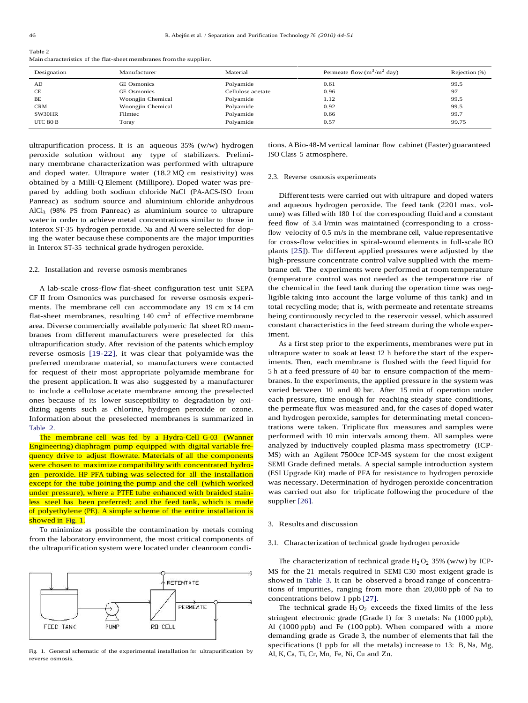| $1$ ave $\epsilon$ |                                                                     |  |
|--------------------|---------------------------------------------------------------------|--|
|                    | Main characteristics of the flat-sheet membranes from the supplier. |  |

| Designation | Manufacturer       | Material          | Permeate flow $(m^3/m^2 \text{ day})$ | Rejection $(\%)$ |
|-------------|--------------------|-------------------|---------------------------------------|------------------|
| AD          | <b>GE</b> Osmonics | Polyamide         | 0.61                                  | 99.5             |
| CE          | <b>GE</b> Osmonics | Cellulose acetate | 0.96                                  | 97               |
| BE          | Woongjin Chemical  | Polyamide         | 1.12                                  | 99.5             |
| <b>CRM</b>  | Woongjin Chemical  | Polyamide         | 0.92                                  | 99.5             |
| SW30HR      | Filmtec            | Polyamide         | 0.66                                  | 99.7             |
| UTC 80 B    | Toray              | Polyamide         | 0.57                                  | 99.75            |

ultrapurification process. It is an aqueous 35% (w/w) hydrogen peroxide solution without any type of stabilizers. Prelimi nary membrane characterization was performed with ultrapure and doped water. Ultrapure water (18.2 MQ cm resistivity) was obtained by a Milli-Q Element (Millipore). Doped water was pre pared by adding both sodium chloride NaCl (PA-ACS-ISO from Panreac) as sodium source and aluminium chloride anhydrous  $AlCl<sub>3</sub>$  (98% PS from Panreac) as aluminium source to ultrapure  $\frac{an}{1}$ water in order to achieve metal concentrations similar to those in Interox ST-35 hydrogen peroxide. Na and Al were selected for doping the water because these components are the major impurities in Interox ST-35 technical grade hydrogen peroxide.

## 2.2. Installation and reverse osmosis membranes

A lab-scale cross-flow flat-sheet configuration test unit SEPA CF II from Osmonics was purchased for reverse osmosis experi ments. The membrane cell can accommodate any <sup>19</sup> cm x14 cm flat-sheet membranes, resulting  $140 \text{ cm}^2$  of effective membrane area. Diverse commercially available polymeric flat sheet RO mem branes from different manufacturers were preselected for this ultrapurification study. After revision of the patents which employ reverse osmosis [19-22], it was clear that polyamide was the preferred membrane material, so manufacturers were contacted for request of their most appropriate polyamide membrane for the present application. It was also suggested by a manufacturer to include a cellulose acetate membrane among the preselected ones because of its lower susceptibility to degradation by oxi dizing agents such as chlorine, hydrogen peroxide or ozone. Information about the preselected membranes is summarized in Table 2.<br>The membrane cell was fed by a Hydra-Cell G-03 (Wanner

Engineering) diaphragm pump equipped with digital variable fre quency drive to adjust flowrate. Materials of all the components were chosen to maximize compatibility with concentrated hydrogen peroxide. HP PFA tubing was selected for all the installation except for the tube joining the pump and the cell (which worked under pressure), where a PTFE tube enhanced with braided stainless steel has been preferred; and the feed tank, which is made of polyethylene (PE). A simple scheme of the entire installation is showed in Fig. 1.

To minimize as possible the contamination by metals coming from the laboratory environment, the most critical components of the ultrapurification system were located under cleanroom condi-



Fig. 1. General schematic of the experimental installation for ultrapurification by reverse osmosis.

tions. A Bio-48-M vertical laminar flow cabinet (Faster) guaranteed ISO Class 5 atmosphere.

#### 2.3. Reverse osmosis experiments

Different tests were carried out with ultrapure and doped waters and aqueous hydrogen peroxide. The feed tank (2201 max. volume) was filled with 180 l of the corresponding fluid and a constant feed flow of 3.4 l/min was maintained (corresponding to a crossflow velocity of  $0.5$  m/s in the membrane cell, value representative for cross-flow velocities in spiral-wound elements in full-scale RO plants [25]). The different applied pressures were adjusted by the high-pressure concentrate control valve supplied with the mem brane cell. The experiments were performed at room temperature (temperature control was not needed as the temperature rise of the chemical in the feed tank during the operation time was negligible taking into account the large volume of this tank) and in total recycling mode; that is, with permeate and retentate streams being continuously recycled to the reservoir vessel, which assured constant characteristics in the feed stream during the whole experiment.

As a first step prior to the experiments, membranes were put in ultrapure water to soak at least 12 h before the start of the experiments. Then, each membrane is flushed with the feed liquid for 5 h at a feed pressure of 40 bar to ensure compaction of the membranes. In the experiments, the applied pressure in the systemwas varied between 10 and 40 bar. After 15 min of operation under each pressure, time enough for reaching steady state conditions, the permeate flux was measured and, for the cases of doped water and hydrogen peroxide, samples for determinating metal concentrations were taken. Triplicate flux measures and samples were performed with 10 min intervals among them. All samples were analyzed by inductively coupled plasma mass spectrometry (ICP- MS) with an Agilent 7500ce ICP-MS system for the most exigent SEMI Grade defined metals. A special sample introduction system (ESI Upgrade Kit) made of PFA for resistance to hydrogen peroxide was necessary. Determination of hydrogen peroxide concentration was carried out also for triplicate following the procedure of the supplier [26].

#### 3. Results and discussion

#### 3.1. Characterization of technical grade hydrogen peroxide

The characterization of technical grade  $H_2 O_2$  35% (w/w) by ICP-MS for the 21 metals required in SEMI C30 most exigent grade is showed in Table 3. It can be observed a broad range of concentrations of impurities, ranging from more than 20,000 ppb of Na to concentrations below 1 ppb [27].

The technical grade  $H_2 O_2$  exceeds the fixed limits of the less stringent electronic grade (Grade 1) for 3 metals: Na (1000 ppb), Al (1000 ppb) and Fe (100 ppb). When compared with a more demanding grade as Grade 3, the number of elements that fail the specifications (1 ppb for all the metals) increase to 13: B, Na, Mg, Al, K, Ca, Ti, Cr, Mn, Fe, Ni, Cu and Zn.

 $T_0$ ble 2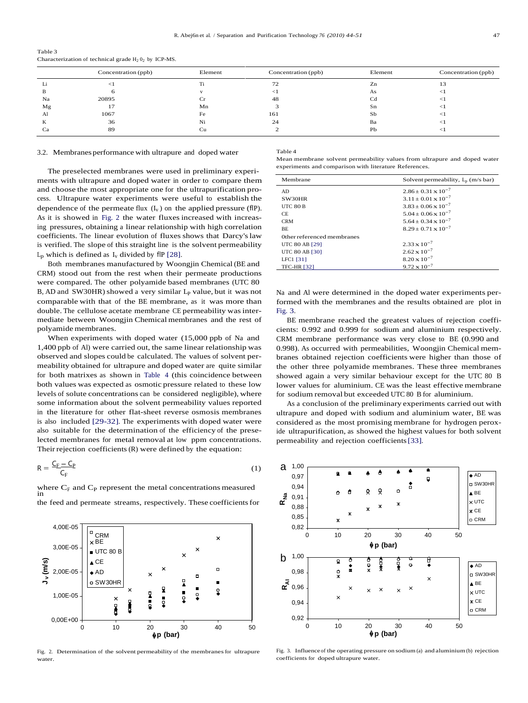|    | Concentration (ppb) | Element | Concentration (ppb) | Element | Concentration (ppb) |
|----|---------------------|---------|---------------------|---------|---------------------|
|    |                     | T)      | 72                  | Zn      |                     |
|    |                     |         |                     | As      |                     |
| Na | 20895               |         | 48                  | υd      |                     |
| Mg |                     | Mn      |                     | Sn      |                     |
| Al | 1067                | Fe      | 161                 | Sb      |                     |
| n. | 36                  | Ni      | 24                  | Ba      |                     |
|    | 89                  | Сu      |                     | Pb      |                     |

Table 3 Characterization of technical grade  $H_2 0_2$  by ICP-MS.

# 3.2. Membranes performance with ultrapure and doped water Table 4 Mean membrane solvent permeability values from ultrapure and doped water

experiments and comparison with literature References. The preselected membranes were used in preliminary experi ments with ultrapure and doped water in order to compare them and choose the most appropriate one for the ultrapurification pro cess. Ultrapure water experiments were useful to establish the dependence of the permeate flux  $(I_v)$  on the applied pressure (flP). As it is showed in Fig. 2 the water fluxes increased with increasing pressures, obtaining a linear relationship with high correlation coefficients. The linear evolution of fluxes shows that Darcy'slaw is verified. The slope of this straight line is the solvent permeability  $L_p$  which is defined as  $I_v$  divided by flP [28].

Both membranes manufactured by Woongjin Chemical (BE and CRM) stood out from the rest when their permeate productions were compared. The other polyamide based membranes (UTC 80 B, AD and SW30HR) showed a very similar  $L<sub>P</sub>$  value, but it was not comparable with that of the BE membrane, as it was more than double. The cellulose acetate membrane CE permeability was intermediate between Woongjin Chemical membranes and the rest of polyamide membranes.

When experiments with doped water (15,000 ppb of Na and 1,400 ppb of Al) were carried out, the same linear relationship was observed and slopes could be calculated. The values of solvent per meability obtained for ultrapure and doped water are quite similar for both matrixes as shown in Table 4 (this coincidence between both values was expected as osmotic pressure related to these low levels of solute concentrations can be considered negligible), where some information about the solvent permeability values reported in the literature for other flat-sheet reverse osmosis membranes is also included [29-32]. The experiments with doped water were also suitable for the determination of the efficiency of the preselected membranes for metal removal at low ppm concentrations. Their rejection coefficients (R) were defined by the equation:

$$
R = \frac{C_F - C_P}{C_F} \tag{1}
$$

the feed and permeate streams, respectively. These coefficients for



Fig. 2. Determination of the solvent permeability of the membranes for ultrapure

| Membrane                   | Solvent permeability, $L_p$ (m/s bar) |
|----------------------------|---------------------------------------|
| AD                         | $2.86 \pm 0.31 \times 10^{-7}$        |
| SW30HR                     | $3.11 \pm 0.01 \times 10^{-7}$        |
| <b>UTC 80 B</b>            | $3.83 \pm 0.06 \times 10^{-7}$        |
| CE.                        | $5.04 \pm 0.06 \times 10^{-7}$        |
| <b>CRM</b>                 | $5.64 \pm 0.34 \times 10^{-7}$        |
| <b>BE</b>                  | $8.29 + 0.71 \times 10^{-7}$          |
| Other referenced membranes |                                       |
| <b>UTC 80 AB [29]</b>      | $2.33 \times 10^{-7}$                 |
| <b>UTC 80 AB [30]</b>      | $2.62 \times 10^{-7}$                 |
| LFC1 [31]                  | $8.20 \times 10^{-7}$                 |
| <b>TFC-HR [32]</b>         | $9.72 \times 10^{-7}$                 |

Na and Al were determined in the doped water experiments performed with the membranes and the results obtained are plot in Fig. 3.

BE membrane reached the greatest values of rejection coeffi cients: 0.992 and 0.999 for sodium and aluminium respectively. CRM membrane performance was very close to BE (0.990 and 0.998). As occurred with permeabilities, Woongjin Chemical mem branes obtained rejection coefficients were higher than those of the other three polyamide membranes. These three membranes showed again a very similar behaviour except for the UTC 80 B lower values for aluminium. CE was the least effective membrane for sodium removal but exceeded UTC 80 B for aluminium.

As a conclusion of the preliminary experiments carried out with ultrapure and doped with sodium and aluminium water, BE was considered as the most promising membrane for hydrogen peroxide ultrapurification, as showed the highest values for both solvent permeability and rejection coefficients[33].



Fig. 2. Determination of the solvent permeability of the membranes for ultrapure Fig. 3. Influence of the operating pressure on sodium (a) and aluminium (b) rejection vater. coefficients for doped ultrapure water.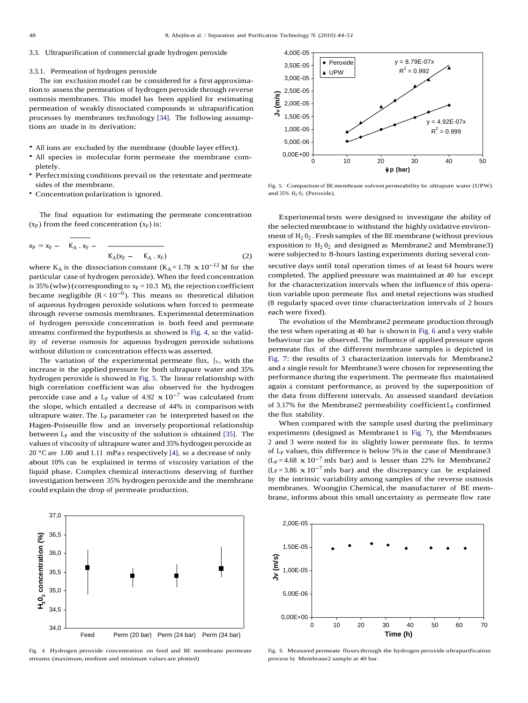3.3. Ultrapurification of commercial grade hydrogen peroxide

### 3.3.1. Permeation of hydrogen peroxide

The ion exclusion model can be considered for a first approximation to assess the permeation of hydrogen peroxide through reverse<br>osmosis membranes. This model has been applied for estimating<br>normaation of weakly discosited compounds in ultramvification osmosis membranes. This model has been applied for estimating permeation of weakly dissociated compounds in ultrapurification  $\begin{array}{c} \rightarrow \\ \rightarrow \end{array}$ processes by membranes technology [34]. The following assumptions are made in its derivation:

- All ions are excluded by the membrane (double layer effect).<br>• All species in molecular form permeate the membrane com-
- pletely.
- Perfect mixing conditions prevail on the retentate and permeate sides of the membrane.
- Concentration polarization is ignored.

The final equation for estimating the permeate concentration  $(x_P)$  from the feed concentration  $(x_F)$  is:

$$
x_{P} = x_{F} - \overline{K_{A} \cdot x_{F}} - \frac{1}{K_{A}(x_{F} - K_{A} \cdot x_{F})}
$$
 (2)

where  $K_A$  is the dissociation constant  $(K_A = 1.78 \times 10^{-12} \text{M})$  for the particular case of hydrogen peroxide). When the feed concentration is 35% (wlw) (corresponding to  $x_F = 10.3$  M), the rejection coefficient is 35% (WIW) (corresponding to  $x_F = 10.3$  M), the rejection coefficient to became negligible  $(R < 10^{-6})$ . This means no theoretical dilution tion of aqueous hydrogen peroxide solutions when forced to permeate through reverse osmosis membranes. Experimental determination of hydrogen peroxide concentration in both feed and permeate streams confirmed the hypothesis as showed in Fig. 4, so the validity of reverse osmosis for aqueous hydrogen peroxide solutions without dilution or concentration effectswas asserted.

The variation of the experimental permeate flux,  $[v,$  with the increase in the applied pressure for both ultrapure water and 35% hydrogen peroxide is showed in Fig. 5. The linear relationship with high correlation coefficient was also observed for the hydrogen peroxide case and a L<sub>P</sub> value of 4.92  $\times 10^{-7}$  was calculated from the slope, which entailed a decrease of 44% in comparison with ultrapure water. The  $L_p$  parameter can be interpreted based on the Hagen-Poiseuille flow and an inversely proportional relationship between  $L_p$  and the viscosity of the solution is obtained [35]. The values of viscosity of ultrapure water and 35% hydrogen peroxide at 20  $\degree$ C are 1.00 and 1.11 mPas respectively [4], so a decrease of only about 10% can be explained in terms of viscosity variation of the liquid phase. Complex chemical interactions deserving of further investigation between 35% hydrogen peroxide and the membrane could explain the drop of permeate production.



Fig. 4. Hydrogen peroxide concentration on feed and BE membrane permeate streams (maximum, medium and minimum values are plotted)



Fig. 5. Comparison of BE membrane solvent permeability for ultrapure water (UPW) and  $35\%$  H<sub>2</sub>  $0$ <sub>2</sub> (Peroxide).

 $\overline{\text{W}}$   $\overline{\text{S}}$   $\overline{\text{S}}$   $\overline{\text{S}}$   $\overline{\text{S}}$   $\overline{\text{S}}$   $\overline{\text{S}}$   $\overline{\text{S}}$   $\overline{\text{S}}$   $\overline{\text{S}}$   $\overline{\text{S}}$   $\overline{\text{S}}}$   $\overline{\text{S}}$   $\overline{\text{S}}$   $\overline{\text{S}}$   $\overline{\text{S}}$   $\overline{\text{S}}$   $\overline{\text{S}}}$   $\overline{\text{S}}$   $\overline{\text{S}}$  Experimental tests were designed to investigate the ability of the selectedmembrane to withstand the highly oxidative environment of  $H_2 0_2$ . Fresh samples of the BE membrane (without previous exposition to  $H_2 0_2$  and designed as Membrane2 and Membrane3) were subjected to 8-hours lasting experiments during several con secutive days until total operation times of at least 64 hours were completed. The applied pressure was maintained at 40 bar except for the characterization intervals when the influence of this operation variable upon permeate flux and metal rejections was studied (8 regularly spaced over time characterization intervals of 2 hours each were fixed).

The evolution of the Membrane2 permeate production through the test when operating at 40 bar is shown in Fig. 6 and a very stable behaviour can be observed. The influence of applied pressure upon permeate flux of the different membrane samples is depicted in Fig. 7: the results of 3 characterization intervals for Membrane2 and a single result for Membrane3 were chosen for representing the performance during the experiment. The permeate flux maintained again a constant performance, as proved by the superposition of the data from different intervals. An assessed standard deviation of 3.17% for the Membrane2 permeability coefficient  $L_p$  confirmed the flux stability.

When compared with the sample used during the preliminary experiments (designed as Membrane1 in Fig. 7), the Membranes 2 and 3 were noted for its slightly lower permeate flux. In terms of L<sup>P</sup> values, this difference is below 5% in the case of Membrane3  $(L_P = 4.68 \times 10^{-7}$  mls bar) and is lesser than 22% for Membrane2  $(L_P = 3.86 \times 10^{-7}$  mls bar) and the discrepancy can be explained by the intrinsic variability among samples of the reverse osmosis membranes. Woongjin Chemical, the manufacturer of BE mem brane, informs about this small uncertainty as permeate flow rate



Fig. 6. Measured permeate fluxes through the hydrogen peroxide ultrapurification process by Membrane2 sample at 40 bar.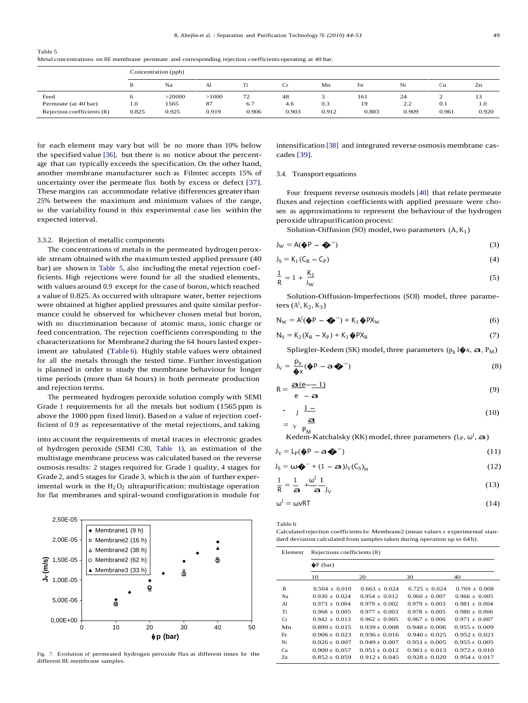Table 5

Metal concentrations on BE membrane permeate and corresponding rejection coefficients operating at 40 bar.

|                            |       | Concentration (ppb) |       |       |       |       |       |       |       |       |  |
|----------------------------|-------|---------------------|-------|-------|-------|-------|-------|-------|-------|-------|--|
|                            | B     | Na                  | Al    |       |       | Mn    | Fe    | Ni    | Сu    | Zn    |  |
| Feed                       |       | >20000              | >1000 | 72    | 48    |       | 161   | 24    | -     | 13    |  |
| Permeate (at 40 bar)       | 1.0   | 1565                | 87    | 6.7   | 4.6   | 0.3   | 19    | 2.2   | 0.1   | 1.0   |  |
| Rejection coefficients (R) | 0.825 | 0.925               | 0.919 | 0.906 | 0.903 | 0.912 | 0.883 | 0.909 | 0.961 | 0.920 |  |

for each element may vary but will be no more than 10% below the specified value [36], but there is no notice about the percent age that can typically exceeds the specification. On the other hand, another membrane manufacturer such as Filmtec accepts 15% of uncertainty over the permeate flux both by excess or defect [37]. These margins can accommodate relative differences greater than 25% between the maximum and minimum values of the range, so the variability found in this experimental case lies within the expected interval.

#### 3.3.2. Rejection of metallic components

The concentrations of metals in the permeated hydrogen peroxide stream obtained with the maximum tested applied pressure (40 bar) are shown in Table 5, also including the metal rejection coefficients. High rejections were found for all the studied elements, with values around 0.9 except for the case of boron, which reached a value of 0.825. As occurred with ultrapure water, better rejections were obtained at higher applied pressures and quite similar perfor mance could be observed for whichever chosen metal but boron, with no discrimination because of atomic mass, ionic charge or feed concentration. The rejection coefficients corresponding to the characterizations for Membrane2 during the 64 hours lasted experiment are tabulated (Table 6). Highly stable values were obtained for all the metals through the tested time. Further investigation is planned in order to study the membrane behaviour for longer time periods (more than 64 hours) in both permeate production<br>and rejection terms.  $R = \frac{a(e^{\frac{m}{2}} - 1)}{2a(e^{\frac{m}{2}} - 1)}$ 

The permeated hydrogen peroxide solution comply with SEMI Grade 1 requirements for all the metals but sodium (1565 ppm is above the 1000 ppm fixed limit). Based on a value of rejection coefficient of 0.9 as representative of the metal rejections, and taking

into account the requirements of metal traces in electronic grades of hydrogen peroxide (SEMI C30, Table 1), an estimation of the multistage membrane process was calculated based on the reverse osmosisresults: 2 stages required for Grade 1 quality, 4 stages for Grade 2, and 5 stages for Grade 3, which is the aim of further experimental work in the  $H_2O_2$  ultrapurification: multistage operation for flat membranes and spiral-wound configuration in module for



rig. 7. Evolution of permeated hydrogen peroxide riux at different times for the  $\frac{Zn}{20}$   $0.852 \pm 0.059$   $0.912 \pm 0.045$   $0.928 \pm 0.020$   $0.954 \pm 0.017$ 

intensification [38] and integrated reverse osmosis membrane cascades [39].

# 3.4. Transport equations

Four frequent reverse osmosis models [40] that relate permeate fluxes and rejection coefficients with applied pressure were cho sen as approximations to represent the behaviour of the hydrogen peroxide ultrapurification process:

Solution-Oiffusion (SO) model, two parameters  $(A, K_1)$ 

$$
J_W = A(\hat{\phi}P - \hat{\phi}^{\vee})
$$
 (3)

$$
J_S = K_1 (C_R - C_P) \tag{4}
$$

$$
\frac{1}{R} = 1 + \frac{K_1}{J_W}
$$
 (5)

Solution-Oiffusion-Imperfections (SOI) model, three parameters  $(A<sup>I</sup>, K<sub>2</sub>, K<sub>3</sub>)$ 

$$
N_W = A^I(\mathbf{\hat{\phi}}P - \mathbf{\hat{\phi}}^{\vee}) + K_3 \mathbf{\hat{\phi}}PX_W
$$
 (6)

$$
N_S = K_2 (X_R - X_P) + K_3 \, \hat{\Phi} P X_R \tag{7}
$$

Spliegler-Kedem (SK) model, three parameters  $(p_h 1 \hat{\blacklozenge} x, \hat{\mathbf{a}}, P_M)$ 

$$
J_V = \frac{p_h}{\Phi x} (\Phi P - a \Phi^*)
$$
 (8)

$$
R = \frac{a(e-1)}{e-a} \tag{9}
$$

$$
\begin{array}{ccc}\n\cdot & \cdot & \cdot & \cdot & \cdot \\
\cdot & \cdot & \cdot & \cdot & \cdot \\
\cdot & \cdot & \cdot & \cdot & \cdot \\
\cdot & \cdot & \cdot & \cdot & \cdot \\
\cdot & \cdot & \cdot & \cdot & \cdot \\
\cdot & \cdot & \cdot & \cdot & \cdot\n\end{array}
$$
\n(10)

Kedem-Katchalsky (KK) model, three parameters (L<sub>P</sub>,  $\omega^I$ , a)

$$
J_V = L_P(\hat{\phi}P - a\hat{\phi}^{\vee})
$$
 (11)

$$
J_S = \omega \hat{\blacklozenge}^{\sim} + (1 - \mathbf{a}) J_V(C_S)_{ln}
$$
 (12)

$$
\frac{1}{R} = \frac{1}{2} + \frac{\omega^1}{2} \frac{1}{J_V} \tag{13}
$$

$$
\omega^{\mathrm{I}} = \omega \mathsf{v} \mathsf{R} \mathsf{T} \tag{14}
$$

Table 6

 $Calculated$  rejection coefficients for Membrane2 (mean values  $\pm$  experimental standard deviation calculated from samples taken during operation up to 64 h).

|                                 | ∆ Membrane2 (38 h)                                                               |                |    |    |    | Element | Rejections coefficients (R) |                   |                   |                   |  |
|---------------------------------|----------------------------------------------------------------------------------|----------------|----|----|----|---------|-----------------------------|-------------------|-------------------|-------------------|--|
| ୕୶<br>$,50E-05-$                | $\circ$ Membrane2 (62 h)<br>$\triangle$ Membrane3 (33 h)                         |                |    | ෂ  |    |         | $\bigcirc$ P (bar)          |                   |                   |                   |  |
| −–3ിി<br>$1,00E-05 -$           |                                                                                  |                | ۵  |    |    |         | 10                          | 20                | 30                | 40                |  |
|                                 |                                                                                  | ଭ              |    |    |    | B       | $0.504 \pm 0.010$           | $0.663 \pm 0.024$ | $0.725 \pm 0.024$ | $0.769 \pm 0.008$ |  |
| $5,00E-06 -$                    |                                                                                  |                |    |    |    | Na      | $0.930 \pm 0.024$           | $0.954 \pm 0.012$ | $0.960 \pm 0.007$ | $0.966 \pm 0.005$ |  |
|                                 | ⊛                                                                                |                |    |    |    | Al      | $0.973 \pm 0.004$           | $0.979 \pm 0.002$ | $0.979 \pm 0.003$ | $0.981 \pm 0.004$ |  |
|                                 |                                                                                  |                |    |    |    | Ti      | $0.968 \pm 0.005$           | $0.977 \pm 0.003$ | $0.978 \pm 0.005$ | $0.980 \pm 0.006$ |  |
| $0.00E + 00$                    |                                                                                  |                |    |    |    | Cr      | $0.942 \pm 0.013$           | $0.962 \pm 0.005$ | $0.967 \pm 0.006$ | $0.971 \pm 0.007$ |  |
|                                 | 10                                                                               | 20             | 30 | 40 | 50 | Mn      | $0.899 + 0.015$             | $0.939 + 0.008$   | $0.948 \pm 0.006$ | $0.955 + 0.009$   |  |
|                                 |                                                                                  | $\phi$ p (bar) |    |    |    | Fe      | $0.906 \pm 0.023$           | $0.936 \pm 0.016$ | $0.940 \pm 0.025$ | $0.952 \pm 0.021$ |  |
|                                 |                                                                                  |                |    |    |    | Ni      | $0.926 + 0.007$             | $0.949 \pm 0.007$ | $0.951 \pm 0.005$ | $0.955 \pm 0.005$ |  |
|                                 |                                                                                  |                |    |    |    | Cu      | $0.900 \pm 0.057$           | $0.951 \pm 0.012$ | $0.961 \pm 0.013$ | $0.972 \pm 0.010$ |  |
| different PE mambrone, complete | Fig. 7. Evolution of permeated hydrogen peroxide flux at different times for the |                |    |    |    | Zn      | $0.852 \pm 0.059$           | $0.912 \pm 0.045$ | $0.928 \pm 0.020$ | $0.954 \pm 0.017$ |  |
|                                 |                                                                                  |                |    |    |    |         |                             |                   |                   |                   |  |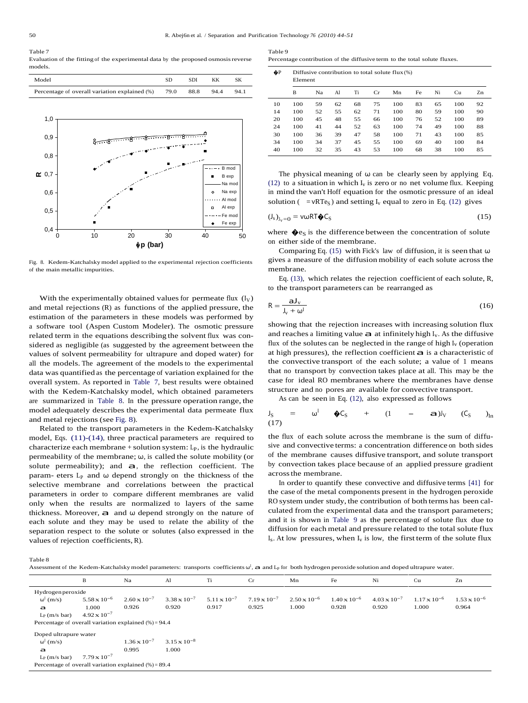# Table 7

Evaluation of the fitting of the experimental data by the proposed osmosis reverse models.

| Model                                              | <b>SDI</b> | KK   | SΚ   |  |
|----------------------------------------------------|------------|------|------|--|
| Percentage of overall variation explained (%) 79.0 | 88.8       | 94.4 | 94.1 |  |



Fig. 8. Kedem-Katchalsky model applied to the experimental rejection coefficients of the main metallic impurities.

With the experimentally obtained values for permeate flux  $(I_V)$ and metal rejections (R) as functions of the applied pressure, the estimation of the parameters in these models was performed by a software tool (Aspen Custom Modeler). The osmotic pressure related term in the equations describing the solvent flux was con sidered as negligible (as suggested by the agreement between the values of solvent permeability for ultrapure and doped water) for all the models. The agreement of the models to the experimental data was quantified as the percentage of variation explained for the overall system. As reported in Table 7, best results were obtained with the Kedem-Katchalsky model, which obtained parameters are summarized in Table 8. In the pressure operation range, the model adequately describes the experimental data permeate flux and metal rejections (see Fig. 8).

Related to the transport parameters in the Kedem-Katchalsky model, Eqs. (11)-(14), three practical parameters are required to characterize each membrane  $+$  solution system:  $L_p$ , is the hydraulic permeability of the membrane;  $\omega$ , is called the solute mobility (or solute permeability); and  $a$ , the reflection coefficient. The param- eters  $L_p$  and  $\omega$  depend strongly on the thickness of the selective membrane and correlations between the practical parameters in order to compare different membranes are valid only when the results are normalized to layers of the same thickness. Moreover,  $a$  and  $\omega$  depend strongly on the nature of each solute and they may be used to relate the ability of the separation respect to the solute or solutes (also expressed in the values of rejection coefficients, R).

Table 9 Percentage contribution of the diffusive term to the total solute fluxes.

�P Diffusive contribution to total solute flux (%)

| w  |     | Diffusive conditional to total solute $\max(\varpi)$<br>Element |    |    |    |     |    |    |     |    |  |  |  |  |
|----|-----|-----------------------------------------------------------------|----|----|----|-----|----|----|-----|----|--|--|--|--|
|    | B   | Na                                                              | Al | Ti | Cr | Mn  | Fe | Ni | Cu  | Zn |  |  |  |  |
| 10 | 100 | 59                                                              | 62 | 68 | 75 | 100 | 83 | 65 | 100 | 92 |  |  |  |  |
| 14 | 100 | 52                                                              | 55 | 62 | 71 | 100 | 80 | 59 | 100 | 90 |  |  |  |  |
| 20 | 100 | 45                                                              | 48 | 55 | 66 | 100 | 76 | 52 | 100 | 89 |  |  |  |  |
| 24 | 100 | 41                                                              | 44 | 52 | 63 | 100 | 74 | 49 | 100 | 88 |  |  |  |  |
| 30 | 100 | 36                                                              | 39 | 47 | 58 | 100 | 71 | 43 | 100 | 85 |  |  |  |  |
| 34 | 100 | 34                                                              | 37 | 45 | 55 | 100 | 69 | 40 | 100 | 84 |  |  |  |  |

The physical meaning of  $\omega$  can be clearly seen by applying Eq. (12) to a situation in which  $I_v$  is zero or no net volume flux. Keeping in mind the van't Hoff equation for the osmotic pressure of an ideal solution ( =  $vRTe_S$ ) and setting  $I_v$  equal to zero in Eq. (12) gives

40 100 32 35 43 53 100 68 38 100 85

$$
(J_s)_{J_v=0} = v\omega RT \clubsuit C_S \tag{15}
$$

 $\overrightarrow{50}$  where  $\oint \mathbf{e}_\text{S}$  is the difference between the concentration of solute on either side of the membrane.

Comparing Eq. (15) with Fick's law of diffusion, it is seen that  $\omega$ gives a measure of the diffusion mobility of each solute across the membrane.

Eq. (13), which relates the rejection coefficient of each solute, R, to the transport parameters can be rearranged as

$$
R = \frac{aJ_v}{J_v + \omega^I}
$$
 (16)

showing that the rejection increases with increasing solution flux and reaches a limiting value  $a$  at infinitely high I<sub>v</sub>. As the diffusive flux of the solutes can be neglected in the range of high  $I_v$  (operation at high pressures), the reflection coefficient  $a$  is a characteristic of the convective transport of the each solute; a value of 1 means that no transport by convection takes place atall. This may be the case for ideal RO membranes where the membranes have dense structure and no pores are available for convective transport.

As can be seen in Eq. (12), also expressed as follows

$$
J_S
$$
 =  $\omega^I$   $\oint C_S$  +  $(1 - a)J_V$   $(C_S)$ <sub>In</sub> (17)

the flux of each solute across the membrane is the sum of diffu sive and convective terms: a concentration difference on both sides of the membrane causes diffusive transport, and solute transport by convection takes place because of an applied pressure gradient acrossthe membrane.

In order to quantify these convective and diffusive terms [41] for the case of the metal components present in the hydrogen peroxide RO system under study, the contribution of both terms has been calculated from the experimental data and the transport parameters; and it is shown in Table 9 as the percentage of solute flux due to diffusion for each metal and pressure related to the total solute flux  $I_s$ . At low pressures, when  $I_v$  is low, the first term of the solute flux

Table 8

rable o<br>Assessment of the Kedem-Katchalsky model parameters: transports coefficients ω<sup>l</sup>, a and L<sub>P</sub> for both hydrogen peroxide solution and doped ultrapure water.

|                                                         | B                     | Na                    | Al                    | Ti                    | Cr                    | Mn                    | Fe                    | Ni                    | Cu                    | Zn                    |  |
|---------------------------------------------------------|-----------------------|-----------------------|-----------------------|-----------------------|-----------------------|-----------------------|-----------------------|-----------------------|-----------------------|-----------------------|--|
| Hydrogen peroxide                                       |                       |                       |                       |                       |                       |                       |                       |                       |                       |                       |  |
| $\omega^{\rm I}$ (m/s)                                  | $5.58 \times 10^{-6}$ | $2.60 \times 10^{-7}$ | $3.38 \times 10^{-7}$ | $5.11 \times 10^{-7}$ | $7.19 \times 10^{-7}$ | $2.50 \times 10^{-6}$ | $1.40 \times 10^{-6}$ | $4.03 \times 10^{-7}$ | $1.17 \times 10^{-6}$ | $1.53 \times 10^{-6}$ |  |
| a                                                       | 1.000                 | 0.926                 | 0.920                 | 0.917                 | 0.925                 | 1.000                 | 0.928                 | 0.920                 | 1.000                 | 0.964                 |  |
| $L_P(m/s bar)$                                          | $4.92 \times 10^{-7}$ |                       |                       |                       |                       |                       |                       |                       |                       |                       |  |
| Percentage of overall variation explained $(\%) = 94.4$ |                       |                       |                       |                       |                       |                       |                       |                       |                       |                       |  |
| Doped ultrapure water                                   |                       |                       |                       |                       |                       |                       |                       |                       |                       |                       |  |
| $\omega^{\rm I}$ (m/s)                                  |                       | $1.36 \times 10^{-7}$ | $3.15 \times 10^{-8}$ |                       |                       |                       |                       |                       |                       |                       |  |
| a                                                       |                       | 0.995                 | 1.000                 |                       |                       |                       |                       |                       |                       |                       |  |
| $L_P$ (m/s bar)                                         | $7.79 \times 10^{-7}$ |                       |                       |                       |                       |                       |                       |                       |                       |                       |  |
| Percentage of overall variation explained $% = 89.4$    |                       |                       |                       |                       |                       |                       |                       |                       |                       |                       |  |